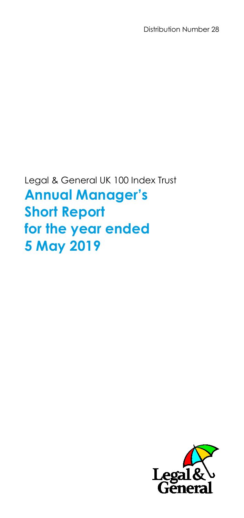Distribution Number 28

Legal & General UK 100 Index Trust **Annual Manager's Short Report for the year ended 5 May 2019**

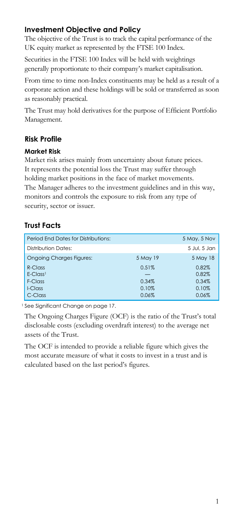## **Investment Objective and Policy**

The objective of the Trust is to track the capital performance of the UK equity market as represented by the FTSE 100 Index.

Securities in the FTSE 100 Index will be held with weightings generally proportionate to their company's market capitalisation.

From time to time non-Index constituents may be held as a result of a corporate action and these holdings will be sold or transferred as soon as reasonably practical.

The Trust may hold derivatives for the purpose of Efficient Portfolio Management.

## **Risk Profile**

### **Market Risk**

Market risk arises mainly from uncertainty about future prices. It represents the potential loss the Trust may suffer through holding market positions in the face of market movements. The Manager adheres to the investment guidelines and in this way, monitors and controls the exposure to risk from any type of security, sector or issuer.

## **Trust Facts**

| Period End Dates for Distributions: |          | 5 May, 5 Nov |
|-------------------------------------|----------|--------------|
| <b>Distribution Dates:</b>          |          | 5 Jul. 5 Jan |
| <b>Ongoing Charges Figures:</b>     | 5 May 19 | 5 May 18     |
| $R$ -Class                          | 0.51%    | 0.82%        |
| $E-Class1$                          |          | 0.82%        |
| F-Class                             | 0.34%    | 0.34%        |
| I-Class                             | 0.10%    | 0.10%        |
| C-Class                             | 0.06%    | 0.06%        |

<sup>1</sup> See Significant Change on page 17.

The Ongoing Charges Figure (OCF) is the ratio of the Trust's total disclosable costs (excluding overdraft interest) to the average net assets of the Trust.

The OCF is intended to provide a reliable figure which gives the most accurate measure of what it costs to invest in a trust and is calculated based on the last period's figures.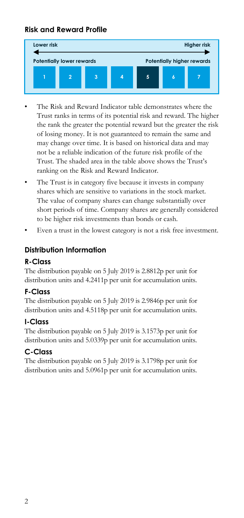## **Risk and Reward Profile**



- The Risk and Reward Indicator table demonstrates where the Trust ranks in terms of its potential risk and reward. The higher the rank the greater the potential reward but the greater the risk of losing money. It is not guaranteed to remain the same and may change over time. It is based on historical data and may not be a reliable indication of the future risk profile of the Trust. The shaded area in the table above shows the Trust's ranking on the Risk and Reward Indicator.
- The Trust is in category five because it invests in company shares which are sensitive to variations in the stock market. The value of company shares can change substantially over short periods of time. Company shares are generally considered to be higher risk investments than bonds or cash.
- Even a trust in the lowest category is not a risk free investment.

## **Distribution Information**

## **R-Class**

The distribution payable on 5 July 2019 is 2.8812p per unit for distribution units and 4.2411p per unit for accumulation units.

### **F-Class**

The distribution payable on 5 July 2019 is 2.9846p per unit for distribution units and 4.5118p per unit for accumulation units.

### **I-Class**

The distribution payable on 5 July 2019 is 3.1573p per unit for distribution units and 5.0339p per unit for accumulation units.

## **C-Class**

The distribution payable on 5 July 2019 is 3.1798p per unit for distribution units and 5.0961p per unit for accumulation units.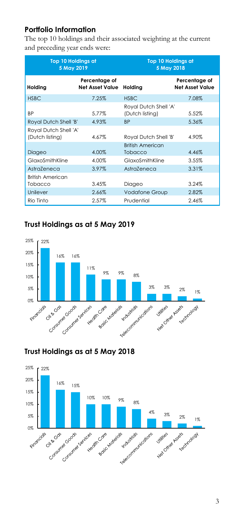## **Portfolio Information**

The top 10 holdings and their associated weighting at the current and preceding year ends were:

| <b>Top 10 Holdings at</b><br>5 May 2019  |                                         | <b>Top 10 Holdings at</b><br>5 May 2018   |                                         |
|------------------------------------------|-----------------------------------------|-------------------------------------------|-----------------------------------------|
| Holding                                  | Percentage of<br><b>Net Asset Value</b> | Holding                                   | Percentage of<br><b>Net Asset Value</b> |
| <b>HSBC</b>                              | 7.25%                                   | <b>HSBC</b>                               | 7.08%                                   |
| <b>BP</b>                                | 5.77%                                   | Royal Dutch Shell 'A'<br>(Dutch listing)  | 5.52%                                   |
| Royal Dutch Shell 'B'                    | 4.93%                                   | <b>BP</b>                                 | 5.36%                                   |
| Royal Dutch Shell 'A'<br>(Dutch listing) | 4.67%                                   | Royal Dutch Shell 'B'                     | 4.90%                                   |
| Diageo                                   | 4.00%                                   | <b>British American</b><br><b>Tobacco</b> | 4.46%                                   |
| GlaxoSmithKline                          | 4.00%                                   | GlaxoSmithKline                           | 3.55%                                   |
| AstraZeneca                              | 3.97%                                   | AstraZeneca                               | 3.31%                                   |
| <b>British American</b>                  |                                         |                                           |                                         |
| Tobacco                                  | 3.45%                                   | Diageo                                    | 3.24%                                   |
| Unilever                                 | 2.66%                                   | <b>Vodafone Group</b>                     | 2.82%                                   |
| Rio Tinto                                | 2.57%                                   | Prudential                                | 2.46%                                   |

## **Trust Holdings as at 5 May 2019**





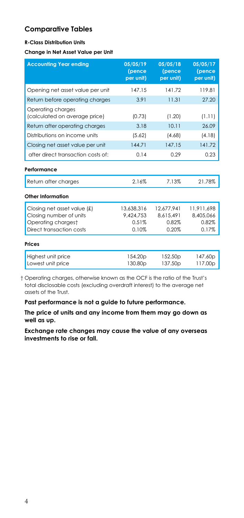### **Comparative Tables**

#### **R-Class Distribution Units**

#### **Change in Net Asset Value per Unit**

| <b>Accounting Year ending</b>                                                                            | 05/05/19<br>(pence<br>per unit)           | 05/05/18<br>(pence<br>per unit)           | 05/05/17<br>(pence<br>per unit)           |
|----------------------------------------------------------------------------------------------------------|-------------------------------------------|-------------------------------------------|-------------------------------------------|
| Opening net asset value per unit                                                                         | 147.15                                    | 14172                                     | 119.81                                    |
| Return before operating charges                                                                          | 3.91                                      | 11.31                                     | 27.20                                     |
| Operating charges<br>(calculated on average price)                                                       | (0.73)                                    | (1.20)                                    | (1.11)                                    |
| Return after operating charges                                                                           | 3.18                                      | 10.11                                     | 26.09                                     |
| Distributions on income units                                                                            | (5.62)                                    | (4.68)                                    | (4.18)                                    |
| Closing net asset value per unit                                                                         | 144.71                                    | 147.15                                    | 141.72                                    |
| after direct transaction costs of:                                                                       | 0.14                                      | 0.29                                      | 0.23                                      |
| Performance                                                                                              |                                           |                                           |                                           |
| Return after charges                                                                                     | 2.16%                                     | 7.13%                                     | 21.78%                                    |
| Other Information                                                                                        |                                           |                                           |                                           |
| Closing net asset value (£)<br>Closing number of units<br>Operating chargest<br>Direct transaction costs | 13,638,316<br>9,424,753<br>0.51%<br>0.10% | 12,677,941<br>8,615,491<br>0.82%<br>0.20% | 11.911.698<br>8.405.066<br>0.82%<br>0.17% |
| Prices                                                                                                   |                                           |                                           |                                           |
| Highest unit price<br>Lowest unit price                                                                  | 154.20p<br>130.80p                        | 152.50 <sub>p</sub><br>137.50p            | 147.60p<br>117.00p                        |

† Operating charges, otherwise known as the OCF is the ratio of the Trust's total disclosable costs (excluding overdraft interest) to the average net assets of the Trust.

**Past performance is not a guide to future performance.**

**The price of units and any income from them may go down as well as up.**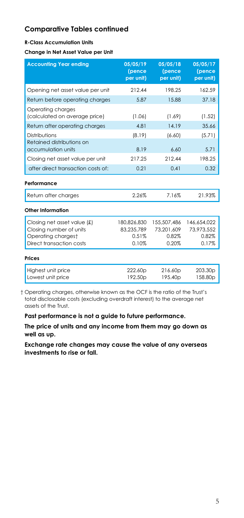#### **R-Class Accumulation Units**

**Change in Net Asset Value per Unit**

| <b>Accounting Year ending</b>                                                                            | 05/05/19<br>(pence<br>per unit)             | 05/05/18<br>(pence<br>per unit)             | 05/05/17<br>(pence<br>per unit)             |
|----------------------------------------------------------------------------------------------------------|---------------------------------------------|---------------------------------------------|---------------------------------------------|
| Opening net asset value per unit                                                                         | 212.44                                      | 198.25                                      | 162.59                                      |
| Return before operating charges                                                                          | 5.87                                        | 15.88                                       | 37.18                                       |
| Operating charges<br>(calculated on average price)                                                       | (1.06)                                      | (1.69)                                      | (1.52)                                      |
| Return after operating charges                                                                           | 4.81                                        | 14.19                                       | 35.66                                       |
| Distributions                                                                                            | (8.19)                                      | (6.60)                                      | (5.71)                                      |
| Retained distributions on<br>accumulation units                                                          | 8.19                                        | 6.60                                        | 5.71                                        |
| Closing net asset value per unit                                                                         | 217.25                                      | 212.44                                      | 198.25                                      |
| after direct transaction costs of:                                                                       | 0.21                                        | 0.41                                        | 0.32                                        |
| Performance                                                                                              |                                             |                                             |                                             |
| Return after charges                                                                                     | 2.26%                                       | 7.16%                                       | 21.93%                                      |
| Other Information                                                                                        |                                             |                                             |                                             |
| Closing net asset value (£)<br>Closing number of units<br>Operating chargest<br>Direct transaction costs | 180,826,830<br>83.235.789<br>0.51%<br>0.10% | 155,507,486<br>73.201.609<br>0.82%<br>0.20% | 146,654,022<br>73.973.552<br>0.82%<br>0.17% |
| Prices                                                                                                   |                                             |                                             |                                             |
| Highest unit price<br>Lowest unit price                                                                  | 222.60p<br>192.50p                          | 216.60p<br>195.40p                          | 203.30 <sub>p</sub><br>158.80p              |

† Operating charges, otherwise known as the OCF is the ratio of the Trust's total disclosable costs (excluding overdraft interest) to the average net assets of the Trust.

**Past performance is not a guide to future performance.**

**The price of units and any income from them may go down as well as up.**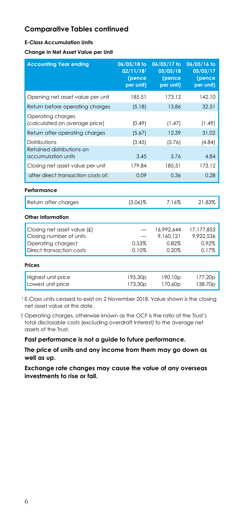#### **E-Class Accumulation Units**

**Change in Net Asset Value per Unit**

| <b>Accounting Year ending</b>                                                                            | 06/05/18 to<br>02/11/18 <sup>1</sup><br>(pence<br>per unit) | 06/05/17 to<br>05/05/18<br>(pence<br>per unit) | 06/05/16 to<br>05/05/17<br>(pence<br>per unit) |
|----------------------------------------------------------------------------------------------------------|-------------------------------------------------------------|------------------------------------------------|------------------------------------------------|
| Opening net asset value per unit                                                                         | 185.51                                                      | 173.12                                         | 142.10                                         |
| Return before operating charges                                                                          | (5.18)                                                      | 13.86                                          | 32.51                                          |
| Operating charges<br>(calculated on average price)                                                       | (0.49)                                                      | (1.47)                                         | (1.49)                                         |
| Return after operating charges                                                                           | (5.67)                                                      | 12.39                                          | 31.02                                          |
| Distributions                                                                                            | (3.45)                                                      | (5.76)                                         | (4.84)                                         |
| Retained distributions on<br>accumulation units                                                          | 3.45                                                        | 5.76                                           | 4.84                                           |
| Closing net asset value per unit                                                                         | 179.84                                                      | 185.51                                         | 173.12                                         |
| after direct transaction costs of:                                                                       | 0.09                                                        | 0.36                                           | 0.28                                           |
| Performance                                                                                              |                                                             |                                                |                                                |
| Return after charges                                                                                     | $(3.06)\%$                                                  | 7.16%                                          | 21.83%                                         |
| Other Information                                                                                        |                                                             |                                                |                                                |
| Closing net asset value (£)<br>Closing number of units<br>Operating chargest<br>Direct transaction costs | 0.53%<br>0.10%                                              | 16,992,644<br>9.160.121<br>0.82%<br>0.20%      | 17,177,853<br>9,922,536<br>0.92%<br>0.17%      |
| Prices                                                                                                   |                                                             |                                                |                                                |
| Highest unit price<br>Lowest unit price                                                                  | 195.30 <sub>p</sub><br>173.30p                              | 190.10p<br>170.60p                             | 177.20p<br>138.70p                             |

<sup>1</sup> E-Class units ceased to exist on 2 November 2018. Value shown is the closing net asset value at this date.

† Operating charges, otherwise known as the OCF is the ratio of the Trust's total disclosable costs (excluding overdraft interest) to the average net assets of the Trust.

**Past performance is not a guide to future performance.**

**The price of units and any income from them may go down as well as up.**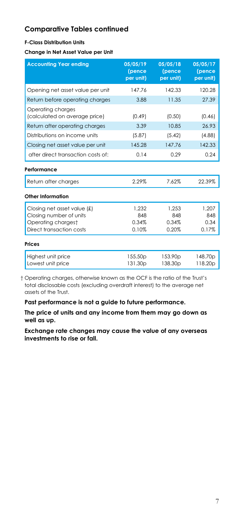### **F-Class Distribution Units**

**Change in Net Asset Value per Unit**

| <b>Accounting Year ending</b>                      | 05/05/19<br>(pence<br>per unit) | 05/05/18<br>(pence<br>per unit) | 05/05/17<br>(pence<br>per unit) |
|----------------------------------------------------|---------------------------------|---------------------------------|---------------------------------|
| Opening net asset value per unit                   | 147.76                          | 142.33                          | 120.28                          |
| Return before operating charges                    | 3.88                            | 11.35                           | 27.39                           |
| Operating charges<br>(calculated on average price) | (0.49)                          | (0.50)                          | (0.46)                          |
| Return after operating charges                     | 3.39                            | 10.85                           | 26.93                           |
| Distributions on income units                      | (5.87)                          | (5.42)                          | (4.88)                          |
| Closing net asset value per unit                   | 145.28                          | 147.76                          | 142.33                          |
| after direct transaction costs of:                 | 0.14                            | 0.29                            | 0.24                            |
| Performance                                        |                                 |                                 |                                 |
| Return after charges                               | 2.29%                           | 7.62%                           | 22.39%                          |
| Other Information                                  |                                 |                                 |                                 |
| Closing net asset value $(f)$                      | 1.232                           | 1.253                           | 1.207                           |
| Closing number of units                            | 848                             | 848                             | 848                             |
| Operating chargest<br>Direct transaction costs     | 0.34%<br>0.10%                  | 0.34%<br>0.20%                  | 0.34<br>0.17%                   |
|                                                    |                                 |                                 |                                 |
| Prices                                             |                                 |                                 |                                 |
| Highest unit price<br>Lowest unit price            | 155.50p<br>131.30 <sub>p</sub>  | 153.90 <sub>p</sub><br>138.30p  | 148.70p<br>118.20p              |

† Operating charges, otherwise known as the OCF is the ratio of the Trust's total disclosable costs (excluding overdraft interest) to the average net assets of the Trust.

**Past performance is not a guide to future performance.**

**The price of units and any income from them may go down as well as up.**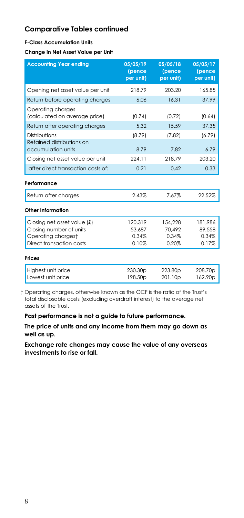#### **F-Class Accumulation Units**

**Change in Net Asset Value per Unit**

| <b>Accounting Year ending</b>                      | 05/05/19<br>(pence<br>per unit) | 05/05/18<br>(pence<br>per unit) | 05/05/17<br>(pence<br>per unit) |
|----------------------------------------------------|---------------------------------|---------------------------------|---------------------------------|
| Opening net asset value per unit                   | 218.79                          | 203.20                          | 165.85                          |
| Return before operating charges                    | 6.06                            | 16.31                           | 37.99                           |
| Operating charges<br>(calculated on average price) | (0.74)                          | (0.72)                          | (0.64)                          |
| Return after operating charges                     | 5.32                            | 15.59                           | 37.35                           |
| Distributions                                      | (8.79)                          | (7.82)                          | (6.79)                          |
| Retained distributions on<br>accumulation units    | 8.79                            | 7.82                            | 6.79                            |
| Closing net asset value per unit                   | 224.11                          | 218.79                          | 203.20                          |
| after direct transaction costs of:                 | 0.21                            | 0.42                            | 0.33                            |
| Performance                                        |                                 |                                 |                                 |
| Return after charges                               | 2.43%                           | 7.67%                           | 22.52%                          |
| Other Information                                  |                                 |                                 |                                 |
| Closing net asset value (£)                        | 120,319                         | 154,228                         | 181,986                         |
| Closing number of units                            | 53.687                          | 70.492                          | 89,558                          |
| Operating chargest                                 | 0.34%                           | 0.34%                           | 0.34%                           |
| Direct transaction costs                           | 0.10%                           | 0.20%                           | 0.17%                           |
| Prices                                             |                                 |                                 |                                 |
| Highest unit price<br>Lowest unit price            | 230.30 <sub>p</sub><br>198.50p  | 223.80 <sub>p</sub><br>201.10p  | 208.70p<br>162.90p              |

† Operating charges, otherwise known as the OCF is the ratio of the Trust's total disclosable costs (excluding overdraft interest) to the average net assets of the Trust.

**Past performance is not a guide to future performance.**

**The price of units and any income from them may go down as well as up.**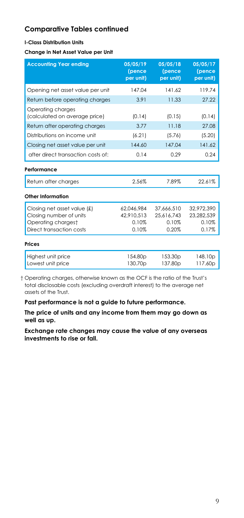### **I-Class Distribution Units**

**Change in Net Asset Value per Unit**

| <b>Accounting Year ending</b>                                                | 05/05/19<br>(pence<br>per unit)   | 05/05/18<br>(pence<br>per unit)   | 05/05/17<br>(pence<br>per unit)   |
|------------------------------------------------------------------------------|-----------------------------------|-----------------------------------|-----------------------------------|
| Opening net asset value per unit                                             | 147.04                            | 141.62                            | 119.74                            |
| Return before operating charges                                              | 3.91                              | 11.33                             | 27.22                             |
| Operating charges<br>(calculated on average price)                           | (0.14)                            | (0.15)                            | (0.14)                            |
| Return after operating charges                                               | 3.77                              | 11.18                             | 27.08                             |
| Distributions on income unit                                                 | (6.21)                            | (5.76)                            | (5.20)                            |
| Closing net asset value per unit                                             | 144.60                            | 147.04                            | 141.62                            |
| after direct transaction costs of:                                           | 0.14                              | 0.29                              | 0.24                              |
| Performance                                                                  |                                   |                                   |                                   |
| Return after charges                                                         | 2.56%                             | 7.89%                             | 22.61%                            |
| Other Information                                                            |                                   |                                   |                                   |
| Closing net asset value (£)<br>Closing number of units<br>Operating chargest | 62.046.984<br>42,910,513<br>0.10% | 37.666.510<br>25.616.743<br>0.10% | 32.972.390<br>23.282.539<br>0.10% |
| Direct transaction costs                                                     | 0.10%                             | 0.20%                             | 0.17%                             |
| Prices                                                                       |                                   |                                   |                                   |
| Highest unit price<br>Lowest unit price                                      | 154.80p<br>130.70p                | 153.30 <sub>p</sub><br>137.80p    | 148.10p<br>117.60p                |

† Operating charges, otherwise known as the OCF is the ratio of the Trust's total disclosable costs (excluding overdraft interest) to the average net assets of the Trust.

**Past performance is not a guide to future performance.**

**The price of units and any income from them may go down as well as up.**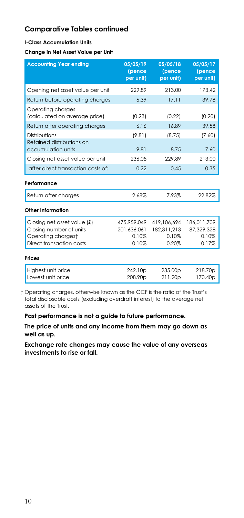#### **I-Class Accumulation Units**

**Change in Net Asset Value per Unit**

| <b>Accounting Year ending</b>                                                                            | 05/05/19<br>(pence<br>per unit)              | 05/05/18<br>(pence<br>per unit)              | 05/05/17<br>(pence<br>per unit)             |
|----------------------------------------------------------------------------------------------------------|----------------------------------------------|----------------------------------------------|---------------------------------------------|
| Opening net asset value per unit                                                                         | 229.89                                       | 213.00                                       | 173.42                                      |
| Return before operating charges                                                                          | 6.39                                         | 17.11                                        | 39.78                                       |
| Operating charges<br>(calculated on average price)                                                       | (0.23)                                       | (0.22)                                       | (0.20)                                      |
| Return after operating charges                                                                           | 6.16                                         | 16.89                                        | 39.58                                       |
| Distributions                                                                                            | (9.81)                                       | (8.75)                                       | (7.60)                                      |
| Retained distributions on<br>accumulation units                                                          | 9.81                                         | 8.75                                         | 7.60                                        |
| Closing net asset value per unit                                                                         | 236.05                                       | 229.89                                       | 213.00                                      |
| after direct transaction costs of:                                                                       | 0.22                                         | 0.45                                         | 0.35                                        |
| Performance                                                                                              |                                              |                                              |                                             |
| Return after charges                                                                                     | 2.68%                                        | 7.93%                                        | 22.82%                                      |
| Other Information                                                                                        |                                              |                                              |                                             |
| Closing net asset value (£)<br>Closing number of units<br>Operating chargest<br>Direct transaction costs | 475.959.049<br>201.636.061<br>0.10%<br>0.10% | 419,106,694<br>182.311.213<br>0.10%<br>0.20% | 186,011,709<br>87.329.328<br>0.10%<br>0.17% |
| Prices                                                                                                   |                                              |                                              |                                             |
| Highest unit price<br>Lowest unit price                                                                  | 242.10p<br>208.90p                           | 235.00 <sub>p</sub><br>211.20p               | 218.70p<br>170.40p                          |

† Operating charges, otherwise known as the OCF is the ratio of the Trust's total disclosable costs (excluding overdraft interest) to the average net assets of the Trust.

**Past performance is not a guide to future performance.**

**The price of units and any income from them may go down as well as up.**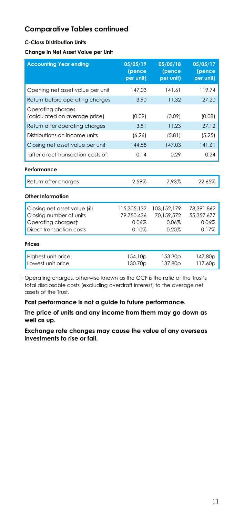#### **C-Class Distribution Units**

**Change in Net Asset Value per Unit**

| <b>Accounting Year ending</b>                                                                            | 05/05/19<br>(pence<br>per unit)             | 05/05/18<br>(pence<br>per unit)             | 05/05/17<br>(pence<br>per unit)            |
|----------------------------------------------------------------------------------------------------------|---------------------------------------------|---------------------------------------------|--------------------------------------------|
| Opening net asset value per unit                                                                         | 147.03                                      | 141.61                                      | 119.74                                     |
| Return before operating charges                                                                          | 3.90                                        | 11.32                                       | 27.20                                      |
| Operating charges<br>(calculated on average price)                                                       | (0.09)                                      | (0.09)                                      | (0.08)                                     |
| Return after operating charges                                                                           | 3.81                                        | 11.23                                       | 27.12                                      |
| Distributions on income units                                                                            | (6.26)                                      | (5.81)                                      | (5.25)                                     |
| Closing net asset value per unit                                                                         | 144.58                                      | 147.03                                      | 141.61                                     |
| after direct transaction costs of:                                                                       | 0.14                                        | 0.29                                        | 0.24                                       |
| Performance                                                                                              |                                             |                                             |                                            |
| Return after charges                                                                                     | 2.59%                                       | 7.93%                                       | 22.65%                                     |
| Other Information                                                                                        |                                             |                                             |                                            |
| Closing net asset value (£)<br>Closing number of units<br>Operating chargest<br>Direct transaction costs | 115,305,132<br>79.750.436<br>0.06%<br>0.10% | 103,152,179<br>70.159.572<br>0.06%<br>0.20% | 78,391,862<br>55,357,677<br>0.06%<br>0.17% |
| Prices                                                                                                   |                                             |                                             |                                            |
| Highest unit price<br>Lowest unit price                                                                  | 154.10p<br>130.70p                          | 153.30 <sub>p</sub><br>137.80p              | 147.80p<br>117.60p                         |

† Operating charges, otherwise known as the OCF is the ratio of the Trust's total disclosable costs (excluding overdraft interest) to the average net assets of the Trust.

**Past performance is not a guide to future performance.**

**The price of units and any income from them may go down as well as up.**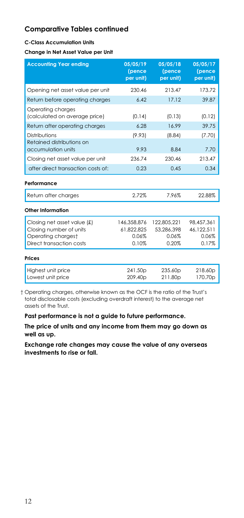#### **C-Class Accumulation Units**

**Change in Net Asset Value per Unit**

| <b>Accounting Year ending</b>                                                | 05/05/19<br>(pence<br>per unit)    | 05/05/18<br>(pence<br>per unit)    | 05/05/17<br>(pence<br>per unit)   |
|------------------------------------------------------------------------------|------------------------------------|------------------------------------|-----------------------------------|
| Opening net asset value per unit                                             | 230.46                             | 213.47                             | 173.72                            |
| Return before operating charges                                              | 6.42                               | 17.12                              | 39.87                             |
| Operating charges<br>(calculated on average price)                           | (0.14)                             | (0.13)                             | (0.12)                            |
| Return after operating charges                                               | 6.28                               | 16.99                              | 39.75                             |
| Distributions                                                                | (9.93)                             | (8.84)                             | (7.70)                            |
| Retained distributions on<br>accumulation units                              | 9.93                               | 8.84                               | 7.70                              |
| Closing net asset value per unit                                             | 236.74                             | 230.46                             | 213.47                            |
| after direct transaction costs of:                                           | 0.23                               | 0.45                               | 0.34                              |
| Performance                                                                  |                                    |                                    |                                   |
| Return after charges                                                         | 2.72%                              | 7.96%                              | 22.88%                            |
| Other Information                                                            |                                    |                                    |                                   |
| Closing net asset value (£)<br>Closing number of units<br>Operating chargest | 146,358,876<br>61.822.825<br>0.06% | 122,805,221<br>53,286,398<br>0.06% | 98,457,361<br>46.122.511<br>0.06% |
| Direct transaction costs                                                     | 0.10%                              | 0.20%                              | 0.17%                             |
| Prices                                                                       |                                    |                                    |                                   |
| Highest unit price<br>Lowest unit price                                      | 241.50p<br>209.40p                 | 235.60p<br>211.80p                 | 218.60p<br>170.70p                |

† Operating charges, otherwise known as the OCF is the ratio of the Trust's total disclosable costs (excluding overdraft interest) to the average net assets of the Trust.

**Past performance is not a guide to future performance.**

**The price of units and any income from them may go down as well as up.**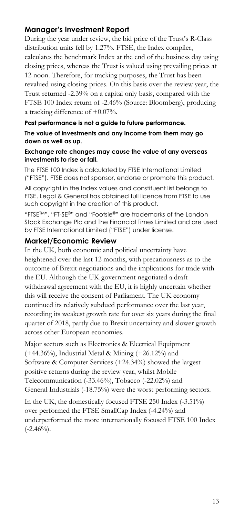## **Manager's Investment Report**

During the year under review, the bid price of the Trust's R-Class distribution units fell by 1.27%. FTSE, the Index compiler, calculates the benchmark Index at the end of the business day using closing prices, whereas the Trust is valued using prevailing prices at 12 noon. Therefore, for tracking purposes, the Trust has been revalued using closing prices. On this basis over the review year, the Trust returned -2.39% on a capital only basis, compared with the FTSE 100 Index return of -2.46% (Source: Bloomberg), producing a tracking difference of +0.07%.

### **Past performance is not a guide to future performance.**

**The value of investments and any income from them may go down as well as up.**

#### **Exchange rate changes may cause the value of any overseas investments to rise or fall.**

The FTSE 100 Index is calculated by FTSE International Limited ("FTSE"). FTSE does not sponsor, endorse or promote this product.

All copyright in the Index values and constituent list belongs to FTSE. Legal & General has obtained full licence from FTSE to use such copyright in the creation of this product.

"FTSETM", "FT-SE®" and "Footsie®" are trademarks of the London Stock Exchange Plc and The Financial Times Limited and are used by FTSE International Limited ("FTSE") under license.

### **Market/Economic Review**

In the UK, both economic and political uncertainty have heightened over the last 12 months, with precariousness as to the outcome of Brexit negotiations and the implications for trade with the EU. Although the UK government negotiated a draft withdrawal agreement with the EU, it is highly uncertain whether this will receive the consent of Parliament. The UK economy continued its relatively subdued performance over the last year, recording its weakest growth rate for over six years during the final quarter of 2018, partly due to Brexit uncertainty and slower growth across other European economies.

Major sectors such as Electronics & Electrical Equipment (+44.36%), Industrial Metal & Mining (+26.12%) and Software & Computer Services (+24.34%) showed the largest positive returns during the review year, whilst Mobile Telecommunication (-33.46%), Tobacco (-22.02%) and General Industrials (-18.75%) were the worst performing sectors.

In the UK, the domestically focused FTSE 250 Index (-3.51%) over performed the FTSE SmallCap Index (-4.24%) and underperformed the more internationally focused FTSE 100 Index  $(-2.46\%)$ .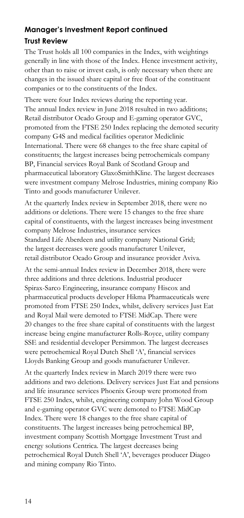# **Manager's Investment Report continued**

## **Trust Review**

The Trust holds all 100 companies in the Index, with weightings generally in line with those of the Index. Hence investment activity, other than to raise or invest cash, is only necessary when there are changes in the issued share capital or free float of the constituent companies or to the constituents of the Index.

There were four Index reviews during the reporting year. The annual Index review in June 2018 resulted in two additions; Retail distributor Ocado Group and E-gaming operator GVC, promoted from the FTSE 250 Index replacing the demoted security company G4S and medical facilities operator Mediclinic International. There were 68 changes to the free share capital of constituents; the largest increases being petrochemicals company BP, Financial services Royal Bank of Scotland Group and pharmaceutical laboratory GlaxoSmithKline. The largest decreases were investment company Melrose Industries, mining company Rio Tinto and goods manufacturer Unilever.

At the quarterly Index review in September 2018, there were no additions or deletions. There were 15 changes to the free share capital of constituents, with the largest increases being investment company Melrose Industries, insurance services Standard Life Aberdeen and utility company National Grid; the largest decreases were goods manufacturer Unilever, retail distributor Ocado Group and insurance provider Aviva.

At the semi-annual Index review in December 2018, there were three additions and three deletions. Industrial producer Spirax-Sarco Engineering, insurance company Hiscox and pharmaceutical products developer Hikma Pharmaceuticals were promoted from FTSE 250 Index, whilst, delivery services Just Eat and Royal Mail were demoted to FTSE MidCap. There were 20 changes to the free share capital of constituents with the largest increase being engine manufacturer Rolls-Royce, utility company SSE and residential developer Persimmon. The largest decreases were petrochemical Royal Dutch Shell 'A', financial services Lloyds Banking Group and goods manufacturer Unilever.

At the quarterly Index review in March 2019 there were two additions and two deletions. Delivery services Just Eat and pensions and life insurance services Phoenix Group were promoted from FTSE 250 Index, whilst, engineering company John Wood Group and e-gaming operator GVC were demoted to FTSE MidCap Index. There were 18 changes to the free share capital of constituents. The largest increases being petrochemical BP, investment company Scottish Mortgage Investment Trust and energy solutions Centrica. The largest decreases being petrochemical Royal Dutch Shell 'A', beverages producer Diageo and mining company Rio Tinto.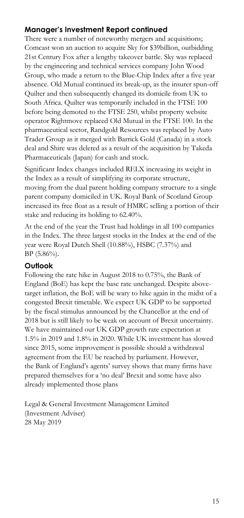## **Manager's Investment Report continued**

There were a number of noteworthy mergers and acquisitions; Comcast won an auction to acquire Sky for \$39billion, outbidding 21st Century Fox after a lengthy takeover battle. Sky was replaced by the engineering and technical services company John Wood Group, who made a return to the Blue-Chip Index after a five year absence. Old Mutual continued its break-up, as the insurer spun-off Quilter and then subsequently changed its domicile from UK to South Africa. Quilter was temporarily included in the FTSE 100 before being demoted to the FTSE 250, whilst property website operator Rightmove replaced Old Mutual in the FTSE 100. In the pharmaceutical sector, Randgold Resources was replaced by Auto Trader Group as it merged with Barrick Gold (Canada) in a stock deal and Shire was deleted as a result of the acquisition by Takeda Pharmaceuticals (Japan) for cash and stock.

Significant Index changes included RELX increasing its weight in the Index as a result of simplifying its corporate structure, moving from the dual parent holding company structure to a single parent company domiciled in UK. Royal Bank of Scotland Group increased its free float as a result of HMRC selling a portion of their stake and reducing its holding to 62.40%.

At the end of the year the Trust had holdings in all 100 companies in the Index. The three largest stocks in the Index at the end of the year were Royal Dutch Shell (10.88%), HSBC (7.37%) and BP (5.86%).

### **Outlook**

Following the rate hike in August 2018 to 0.75%, the Bank of England (BoE) has kept the base rate unchanged. Despite abovetarget inflation, the BoE will be wary to hike again in the midst of a congested Brexit timetable. We expect UK GDP to be supported by the fiscal stimulus announced by the Chancellor at the end of 2018 but is still likely to be weak on account of Brexit uncertainty. We have maintained our UK GDP growth rate expectation at 1.5% in 2019 and 1.8% in 2020. While UK investment has slowed since 2015, some improvement is possible should a withdrawal agreement from the EU be reached by parliament. However, the Bank of England's agents' survey shows that many firms have prepared themselves for a 'no deal' Brexit and some have also already implemented those plans

Legal & General Investment Management Limited (Investment Adviser) 28 May 2019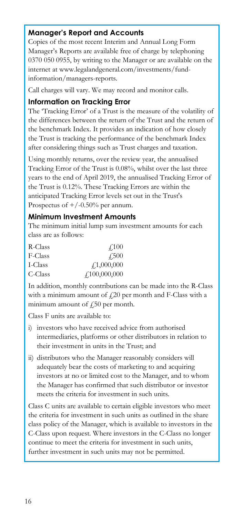## **Manager's Report and Accounts**

Copies of the most recent Interim and Annual Long Form Manager's Reports are available free of charge by telephoning 0370 050 0955, by writing to the Manager or are available on the internet at www.legalandgeneral.com/investments/fundinformation/managers-reports.

Call charges will vary. We may record and monitor calls.

### **Information on Tracking Error**

The 'Tracking Error' of a Trust is the measure of the volatility of the differences between the return of the Trust and the return of the benchmark Index. It provides an indication of how closely the Trust is tracking the performance of the benchmark Index after considering things such as Trust charges and taxation.

Using monthly returns, over the review year, the annualised Tracking Error of the Trust is 0.08%, whilst over the last three years to the end of April 2019, the annualised Tracking Error of the Trust is 0.12%. These Tracking Errors are within the anticipated Tracking Error levels set out in the Trust's Prospectus of  $+/-0.50%$  per annum.

### **Minimum Investment Amounts**

The minimum initial lump sum investment amounts for each class are as follows:

| R-Class | $\angle 100$                       |
|---------|------------------------------------|
| F-Class | 4,500                              |
| I-Class | $\sqrt{1,000,000}$                 |
| C-Class | $\textcolor{blue}{f_1}100,000,000$ |

In addition, monthly contributions can be made into the R-Class with a minimum amount of  $\text{\emph{L}}20$  per month and F-Class with a minimum amount of  $f(50)$  per month.

Class F units are available to:

- i) investors who have received advice from authorised intermediaries, platforms or other distributors in relation to their investment in units in the Trust; and
- ii) distributors who the Manager reasonably considers will adequately bear the costs of marketing to and acquiring investors at no or limited cost to the Manager, and to whom the Manager has confirmed that such distributor or investor meets the criteria for investment in such units.

Class C units are available to certain eligible investors who meet the criteria for investment in such units as outlined in the share class policy of the Manager, which is available to investors in the C-Class upon request. Where investors in the C-Class no longer continue to meet the criteria for investment in such units, further investment in such units may not be permitted.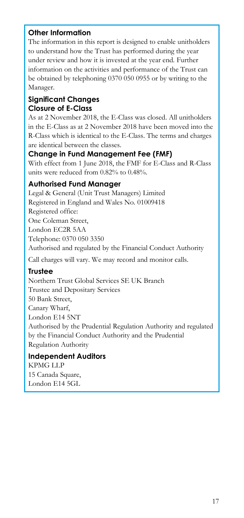## **Other Information**

The information in this report is designed to enable unitholders to understand how the Trust has performed during the year under review and how it is invested at the year end. Further information on the activities and performance of the Trust can be obtained by telephoning 0370 050 0955 or by writing to the Manager.

## **Significant Changes Closure of E-Class**

As at 2 November 2018, the E-Class was closed. All unitholders in the E-Class as at 2 November 2018 have been moved into the R-Class which is identical to the E-Class. The terms and charges are identical between the classes.

## **Change in Fund Management Fee (FMF)**

With effect from 1 June 2018, the FMF for E-Class and R-Class units were reduced from 0.82% to 0.48%.

## **Authorised Fund Manager**

Legal & General (Unit Trust Managers) Limited Registered in England and Wales No. 01009418 Registered office: One Coleman Street, London EC2R 5AA Telephone: 0370 050 3350 Authorised and regulated by the Financial Conduct Authority Call charges will vary. We may record and monitor calls.

### **Trustee**

Northern Trust Global Services SE UK Branch Trustee and Depositary Services 50 Bank Street, Canary Wharf, London E14 5NT Authorised by the Prudential Regulation Authority and regulated by the Financial Conduct Authority and the Prudential Regulation Authority

## **Independent Auditors**

KPMG LLP 15 Canada Square, London E14 5GL